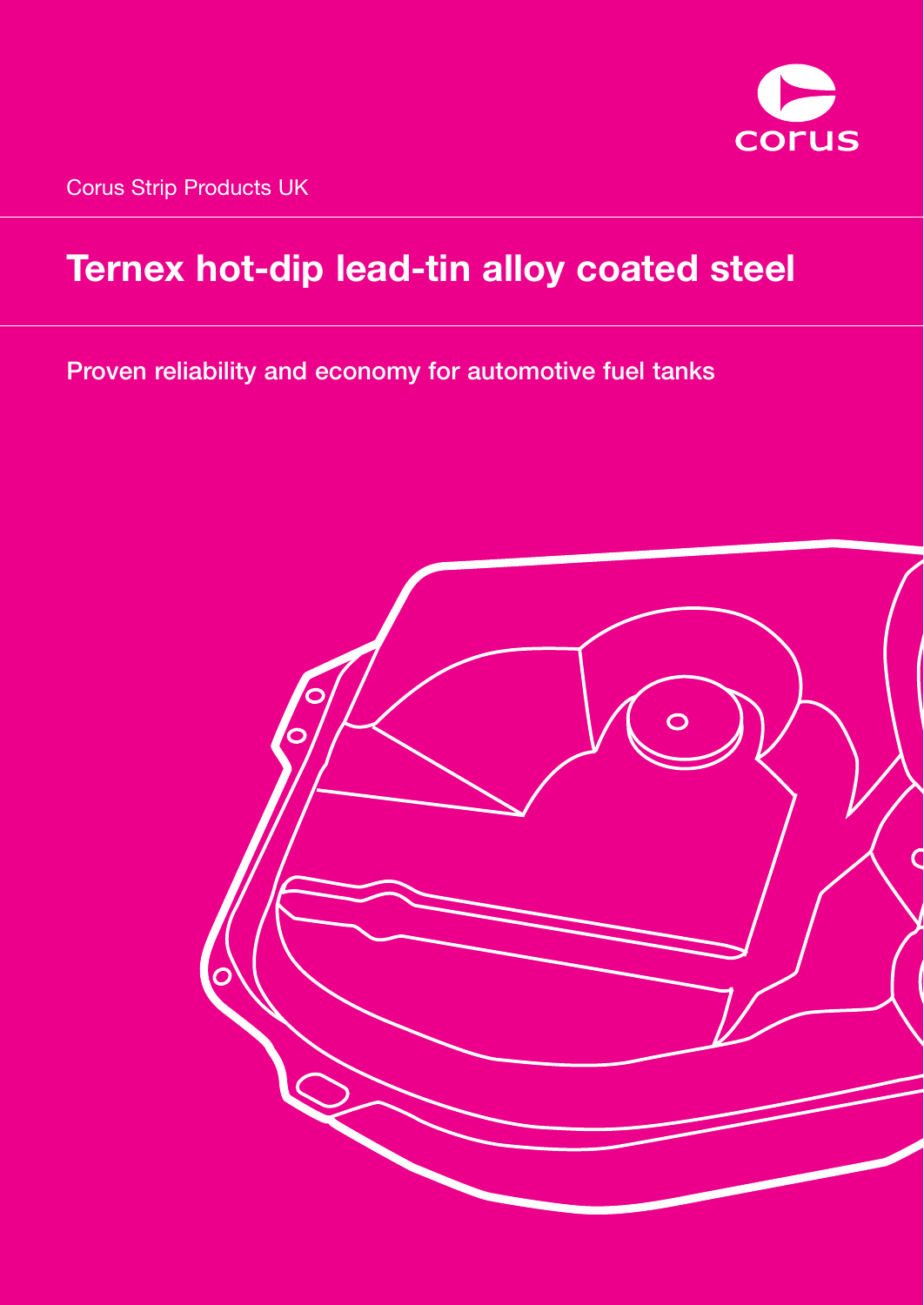

Corus Strip Products UK

# **Ternex hot-dip lead-tin alloy coated steel**

**Proven reliability and economy for automotive fuel tanks**

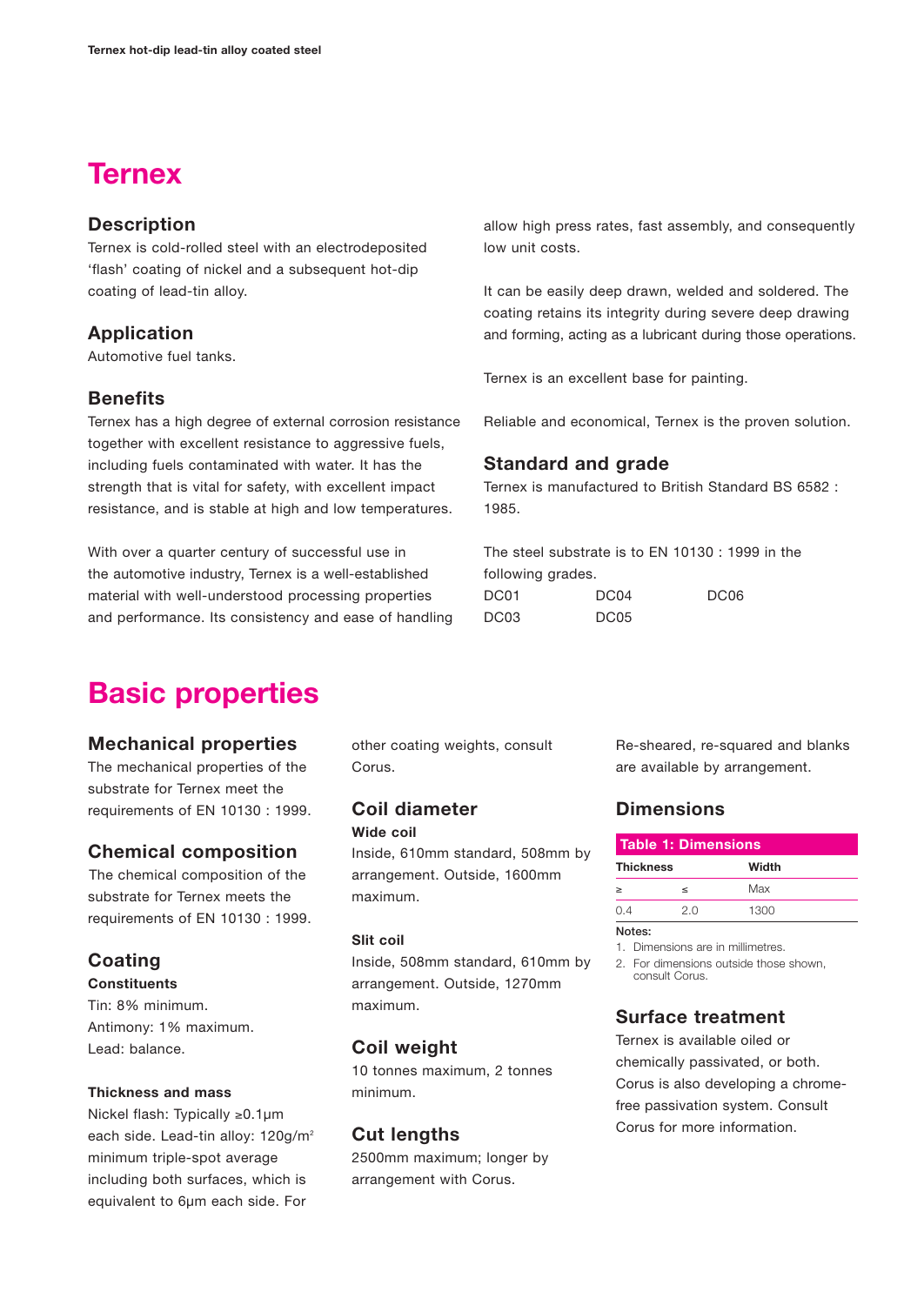## **Ternex**

## **Description**

Ternex is cold-rolled steel with an electrodeposited 'flash' coating of nickel and a subsequent hot-dip coating of lead-tin alloy.

## **Application**

Automotive fuel tanks.

## **Benefits**

Ternex has a high degree of external corrosion resistance together with excellent resistance to aggressive fuels, including fuels contaminated with water. It has the strength that is vital for safety, with excellent impact resistance, and is stable at high and low temperatures.

With over a quarter century of successful use in the automotive industry, Ternex is a well-established material with well-understood processing properties and performance. Its consistency and ease of handling

## **Basic properties**

## **Mechanical properties**

The mechanical properties of the substrate for Ternex meet the requirements of EN 10130 : 1999.

## **Chemical composition**

The chemical composition of the substrate for Ternex meets the requirements of EN 10130 : 1999.

## **Coating**

**Constituents**

Tin: 8% minimum. Antimony: 1% maximum. Lead: balance.

#### **Thickness and mass**

Nickel flash: Typically ≥0.1µm each side. Lead-tin alloy: 120g/m<sup>2</sup> minimum triple-spot average including both surfaces, which is equivalent to 6µm each side. For

other coating weights, consult Corus.

#### **Coil diameter Wide coil**

Inside, 610mm standard, 508mm by arrangement. Outside, 1600mm maximum.

#### **Slit coil**

Inside, 508mm standard, 610mm by arrangement. Outside, 1270mm maximum.

## **Coil weight**

10 tonnes maximum, 2 tonnes minimum.

## **Cut lengths**

2500mm maximum; longer by arrangement with Corus.

allow high press rates, fast assembly, and consequently low unit costs.

It can be easily deep drawn, welded and soldered. The coating retains its integrity during severe deep drawing and forming, acting as a lubricant during those operations.

Ternex is an excellent base for painting.

Reliable and economical, Ternex is the proven solution.

## **Standard and grade**

Ternex is manufactured to British Standard BS 6582 : 1985.

The steel substrate is to EN 10130 : 1999 in the following grades. DC01 DC04 DC06 DC03 DC05

> Re-sheared, re-squared and blanks are available by arrangement.

## **Dimensions**

| Table 1: Dimensions |         |       |  |
|---------------------|---------|-------|--|
| <b>Thickness</b>    |         | Width |  |
| $\geq$              | $\,<\,$ | Max   |  |
| 0.4                 | 2.0     | 1300  |  |
| Notes:              |         |       |  |

1. Dimensions are in millimetres.

2. For dimensions outside those shown, consult Corus.

## **Surface treatment**

Ternex is available oiled or chemically passivated, or both. Corus is also developing a chromefree passivation system. Consult Corus for more information.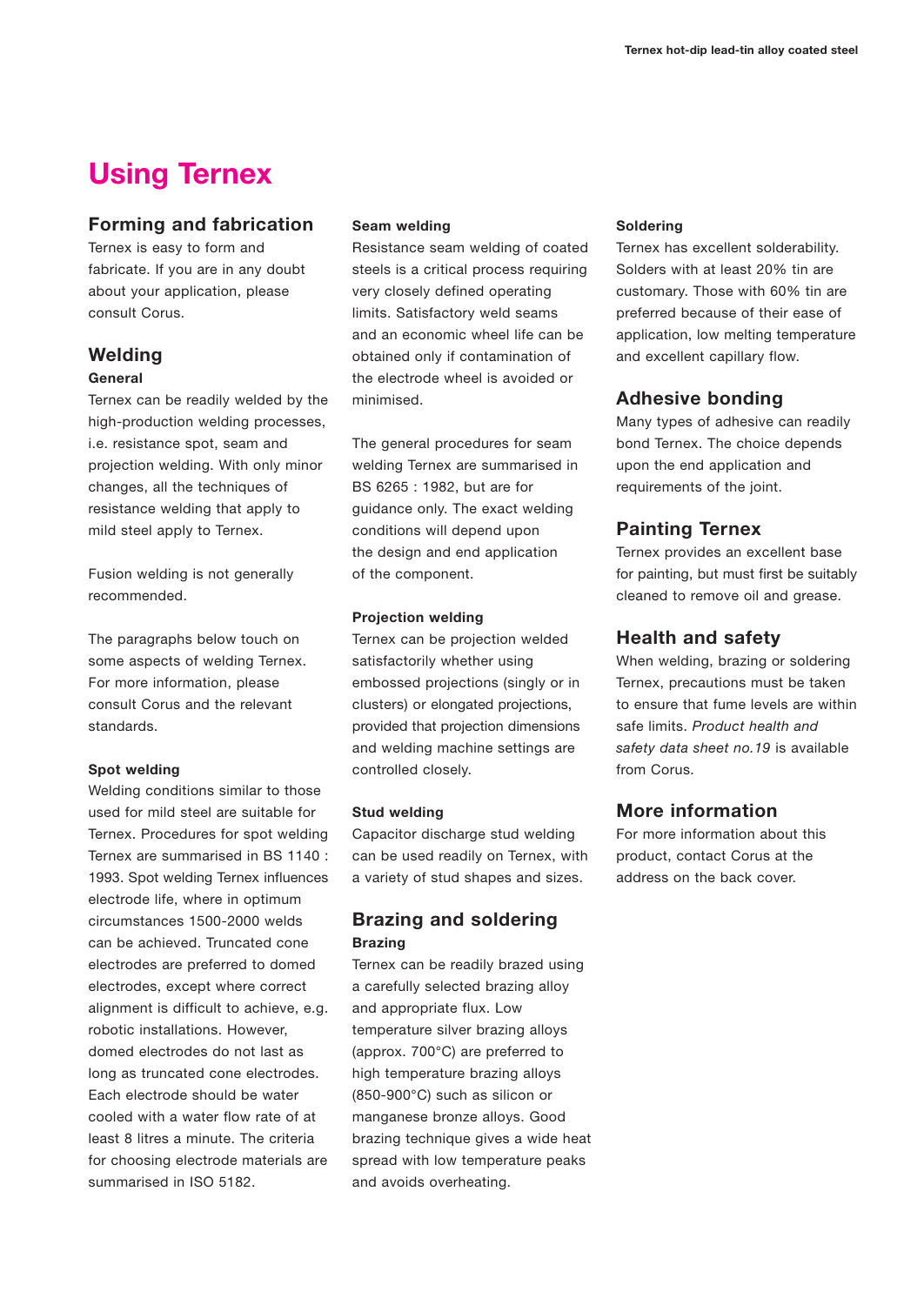## **Using Ternex**

## **Forming and fabrication**

Ternex is easy to form and fabricate. If you are in any doubt about your application, please consult Corus.

## **Welding**

#### **General**

Ternex can be readily welded by the high-production welding processes, i.e. resistance spot, seam and projection welding. With only minor changes, all the techniques of resistance welding that apply to mild steel apply to Ternex.

Fusion welding is not generally recommended.

The paragraphs below touch on some aspects of welding Ternex. For more information, please consult Corus and the relevant standards.

#### **Spot welding**

Welding conditions similar to those used for mild steel are suitable for Ternex. Procedures for spot welding Ternex are summarised in BS 1140 : 1993. Spot welding Ternex influences electrode life, where in optimum circumstances 1500-2000 welds can be achieved. Truncated cone electrodes are preferred to domed electrodes, except where correct alignment is difficult to achieve, e.g. robotic installations. However, domed electrodes do not last as long as truncated cone electrodes. Each electrode should be water cooled with a water flow rate of at least 8 litres a minute. The criteria for choosing electrode materials are summarised in ISO 5182.

#### **Seam welding**

Resistance seam welding of coated steels is a critical process requiring very closely defined operating limits. Satisfactory weld seams and an economic wheel life can be obtained only if contamination of the electrode wheel is avoided or minimised.

The general procedures for seam welding Ternex are summarised in BS 6265 : 1982, but are for guidance only. The exact welding conditions will depend upon the design and end application of the component.

#### **Projection welding**

Ternex can be projection welded satisfactorily whether using embossed projections (singly or in clusters) or elongated projections, provided that projection dimensions and welding machine settings are controlled closely.

#### **Stud welding**

Capacitor discharge stud welding can be used readily on Ternex, with a variety of stud shapes and sizes.

## **Brazing and soldering Brazing**

Ternex can be readily brazed using a carefully selected brazing alloy and appropriate flux. Low temperature silver brazing alloys (approx. 700°C) are preferred to high temperature brazing alloys (850-900°C) such as silicon or manganese bronze alloys. Good brazing technique gives a wide heat spread with low temperature peaks and avoids overheating.

#### **Soldering**

Ternex has excellent solderability. Solders with at least 20% tin are customary. Those with 60% tin are preferred because of their ease of application, low melting temperature and excellent capillary flow.

## **Adhesive bonding**

Many types of adhesive can readily bond Ternex. The choice depends upon the end application and requirements of the joint.

## **Painting Ternex**

Ternex provides an excellent base for painting, but must first be suitably cleaned to remove oil and grease.

## **Health and safety**

When welding, brazing or soldering Ternex, precautions must be taken to ensure that fume levels are within safe limits. *Product health and safety data sheet no.19* is available from Corus.

## **More information**

For more information about this product, contact Corus at the address on the back cover.